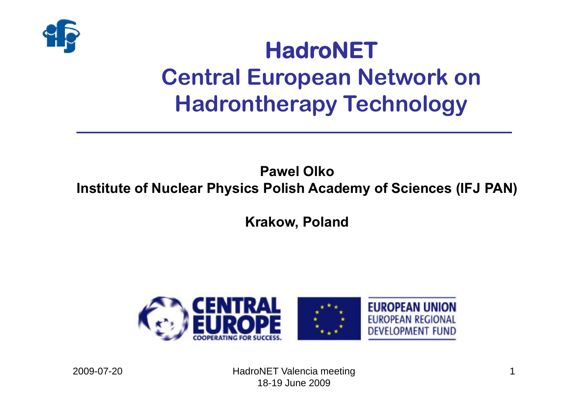

# **HadroNET Central European Network on Hadrontherapy Technology**

### **Pawel OlkoInstitute of Nuclear Physics Polish Academy of Sciences (IFJ PAN)**

**Krakow, Poland**

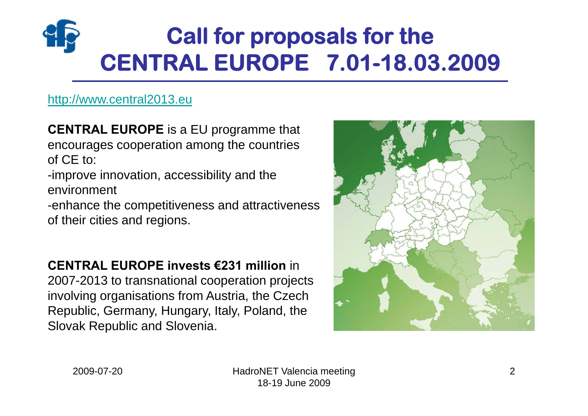# **Call for proposals for the CENTRAL EUROPE 7.01-18.03.2009**

#### [http://www.central2013.eu](http://www.central2013.eu/)

**CENTRAL EUROPE** is a EU programme that encourages cooperation among the countries of CE to:

-improve innovation, accessibility and the environment

-enhance the competitiveness and attractiveness of their cities and regions.

**CENTRAL EUROPE invests €231 million** in 2007-2013 to transnational cooperation projects involving organisations from Austria, the Czech Republic, Germany, Hungary, Italy, Poland, the Slovak Republic and Slovenia.

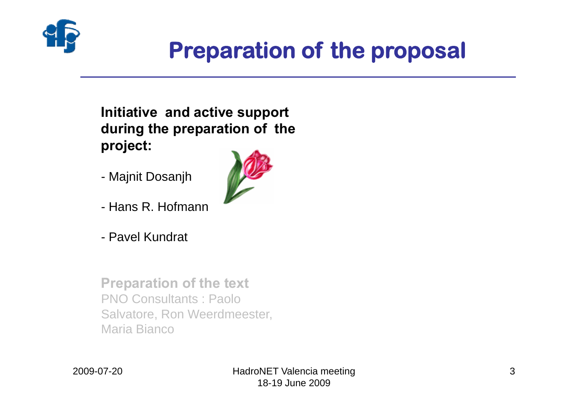

## **Preparation of the proposal**

### **Initiative and active support during the preparation of the project:**

- Majnit Dosanjh
- Hans R. Hofmann
- Pavel Kundrat

**Preparation of the text** PNO Consultants : Paolo Salvatore, Ron Weerdmeester, Maria Bianco

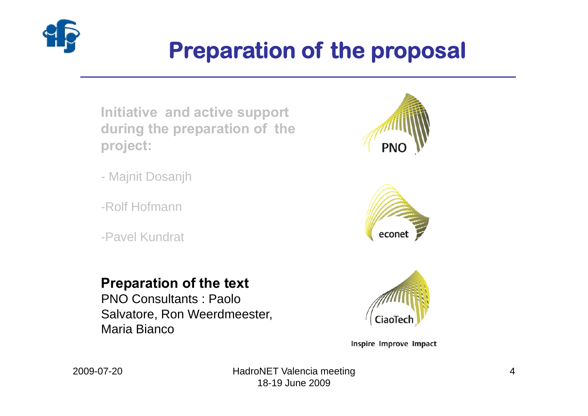

# **Preparation of the proposal**

**Initiative and active support during the preparation of the project:**

- Majnit Dosanjh
- -Rolf Hofmann
- -Pavel Kundrat





### **Preparation of the text**

PNO Consultants : Paolo Salvatore, Ron Weerdmeester, Maria Bianco



Inspire Improve Impact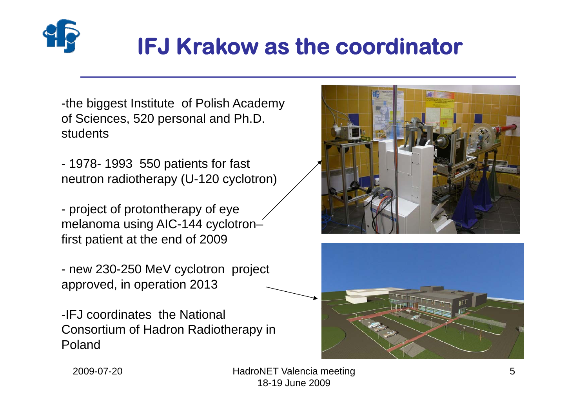

# **IFJ Krakow as the coordinator**

-the biggest Institute of Polish Academy of Sciences, 520 personal and Ph.D. students

- 1978- 1993 550 patients for fast neutron radiotherapy (U-120 cyclotron)

- project of protontherapy of eye melanoma using AIC-144 cyclotron– first patient at the end of 2009

- new 230-250 MeV cyclotron project approved, in operation 2013

-IFJ coordinates the National Consortium of Hadron Radiotherapy in Poland





2009-07-20

 HadroNET Valencia meeting 18-19 June 2009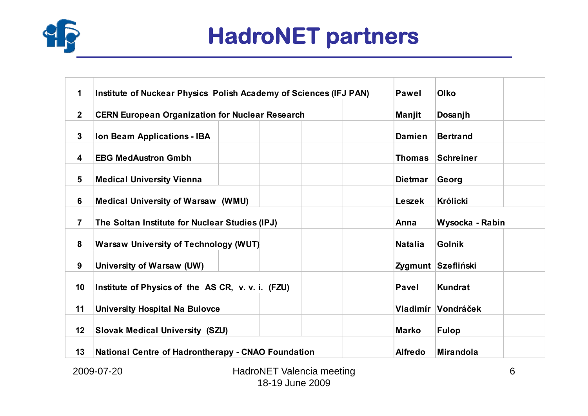

# **HadroNET partners**

| 1                       | Institute of Nuckear Physics Polish Academy of Sciences (IFJ PAN) | <b>Pawel</b>   | <b>Olko</b>        |  |  |  |  |  |
|-------------------------|-------------------------------------------------------------------|----------------|--------------------|--|--|--|--|--|
| 2 <sup>1</sup>          | <b>CERN European Organization for Nuclear Research</b>            | Manjit         | Dosanjh            |  |  |  |  |  |
| $\mathbf{3}$            | Ion Beam Applications - IBA                                       | <b>Damien</b>  | <b>Bertrand</b>    |  |  |  |  |  |
| 4                       | <b>EBG MedAustron Gmbh</b>                                        | <b>Thomas</b>  | Schreiner          |  |  |  |  |  |
| 5                       | <b>Medical University Vienna</b>                                  | <b>Dietmar</b> | Georg              |  |  |  |  |  |
| 6                       | <b>Medical University of Warsaw (WMU)</b>                         | Leszek         | <b>Królicki</b>    |  |  |  |  |  |
| $\overline{\mathbf{7}}$ | The Soltan Institute for Nuclear Studies (IPJ)                    | Anna           | Wysocka - Rabin    |  |  |  |  |  |
| 8                       | <b>Warsaw University of Technology (WUT)</b>                      | <b>Natalia</b> | <b>Golnik</b>      |  |  |  |  |  |
| 9                       | University of Warsaw (UW)                                         |                | Zygmunt Szefliński |  |  |  |  |  |
| 10                      | Institute of Physics of the AS CR, v. v. i. (FZU)                 | <b>Pavel</b>   | <b>Kundrat</b>     |  |  |  |  |  |
| 11                      | <b>University Hospital Na Bulovce</b>                             |                | Vladimír Vondráček |  |  |  |  |  |
| 12                      | <b>Slovak Medical University (SZU)</b>                            | <b>Marko</b>   | <b>Fulop</b>       |  |  |  |  |  |
| 13                      | National Centre of Hadrontherapy - CNAO Foundation                | <b>Alfredo</b> | Mirandola          |  |  |  |  |  |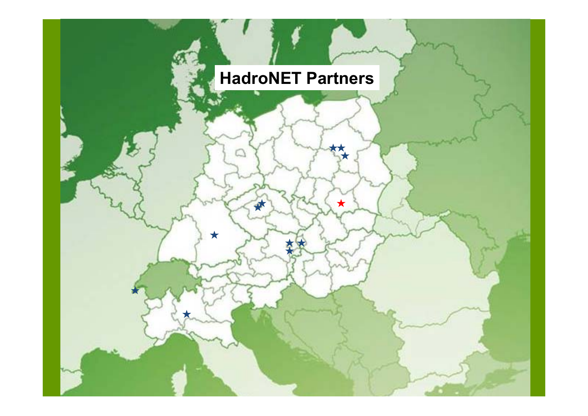## **HadroNET Partners**

AT.

 $\bigstar$ 

HadronEt Valencia meeting on the second second second second second second second second second second second

\*

 $\star$ 

18-19 June 2009

 $2000$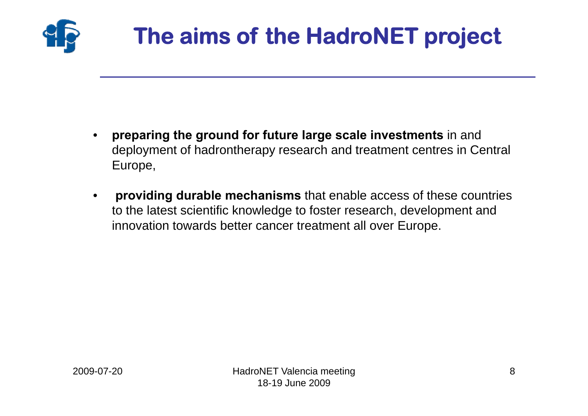

# **The aims of the HadroNET project**

- • **preparing the ground for future large scale investments** in and deployment of hadrontherapy research and treatment centres in Central Europe,
- • **providing durable mechanisms** that enable access of these countries to the latest scientific knowledge to foster research, development and innovation towards better cancer treatment all over Europe.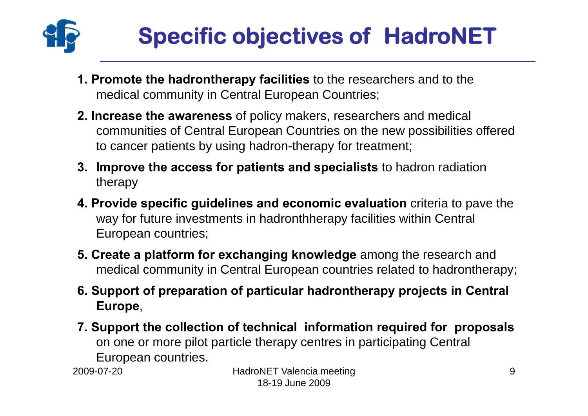

# **Specific objectives of HadroNET**

- **1. Promote the hadrontherapy facilities** to the researchers and to the medical community in Central European Countries;
- **2. Increase the awareness** of policy makers, researchers and medical communities of Central European Countries on the new possibilities offered to cancer patients by using hadron-therapy for treatment;
- **3. Improve the access for patients and specialists** to hadron radiation therapy
- **4. Provide specific guidelines and economic evaluation** criteria to pave the way for future investments in hadronthherapy facilities within Central European countries;
- **5. Create a platform for exchanging knowledge** among the research and medical community in Central European countries related to hadrontherapy;
- **6. Support of preparation of particular hadrontherapy projects in Central Europe**,
- **7. Support the collection of technical information required for proposals** on one or more pilot particle therapy centres in participating Central European countries.

2009-07-20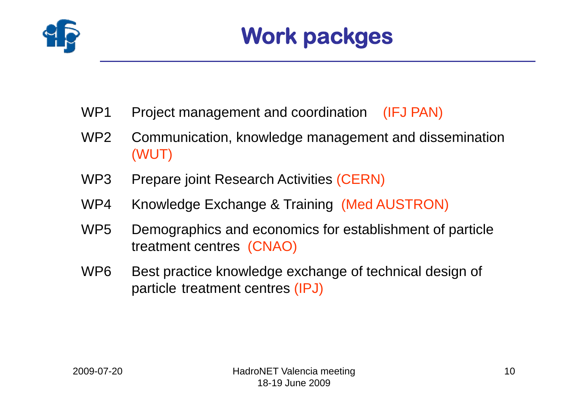

- WP1 Project management and coordination (IFJ PAN)
- WP2 Communication, knowledge management and dissemination (WUT)
- WP3 Prepare joint Research Activities (CERN)
- WP4 Knowledge Exchange & Training (Med AUSTRON)
- WP5 Demographics and economics for establishment of particle treatment centres (CNAO)
- WP6 Best practice knowledge exchange of technical design of particle treatment centres (IPJ)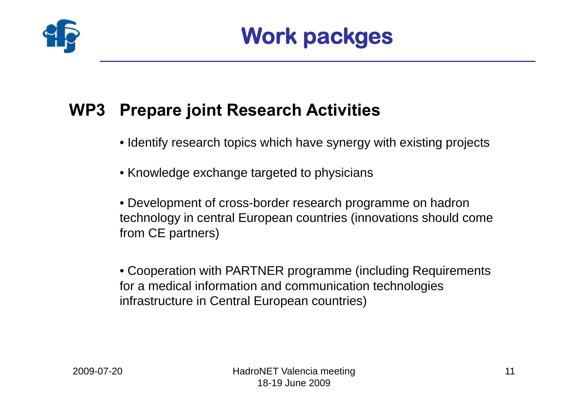

### **WP3 Prepare joint Research Activities**

- Identify research topics which have synergy with existing projects
- Knowledge exchange targeted to physicians

• Development of cross-border research programme on hadron technology in central European countries (innovations should come from CE partners)

• Cooperation with PARTNER programme (including Requirements for a medical information and communication technologies infrastructure in Central European countries)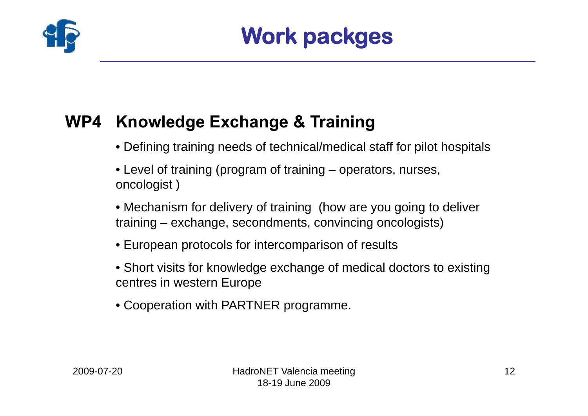

### **WP4 Knowledge Exchange & Training**

- Defining training needs of technical/medical staff for pilot hospitals
- Level of training (program of training operators, nurses, oncologist )
- Mechanism for delivery of training (how are you going to deliver training – exchange, secondments, convincing oncologists)
- European protocols for intercomparison of results
- Short visits for knowledge exchange of medical doctors to existing centres in western Europe
- Cooperation with PARTNER programme.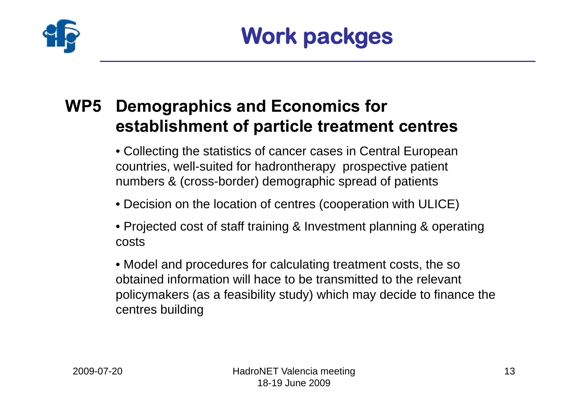

### **WP5 Demographics and Economics for establishment of particle treatment centres**

• Collecting the statistics of cancer cases in Central European countries, well-suited for hadrontherapy prospective patient numbers & (cross-border) demographic spread of patients

- Decision on the location of centres (cooperation with ULICE)
- Projected cost of staff training & Investment planning & operating costs
- Model and procedures for calculating treatment costs, the so obtained information will hace to be transmitted to the relevant policymakers (as a feasibility study) which may decide to finance the centres building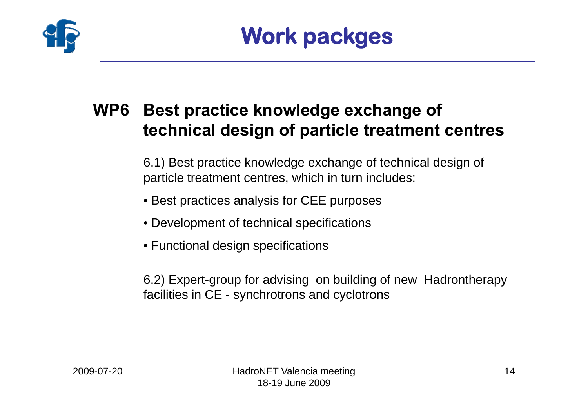

### **WP6 Best practice knowledge exchange of technical design of particle treatment centres**

6.1) Best practice knowledge exchange of technical design of particle treatment centres, which in turn includes:

- Best practices analysis for CEE purposes
- Development of technical specifications
- Functional design specifications

6.2) Expert-group for advising on building of new Hadrontherapy facilities in CE - synchrotrons and cyclotrons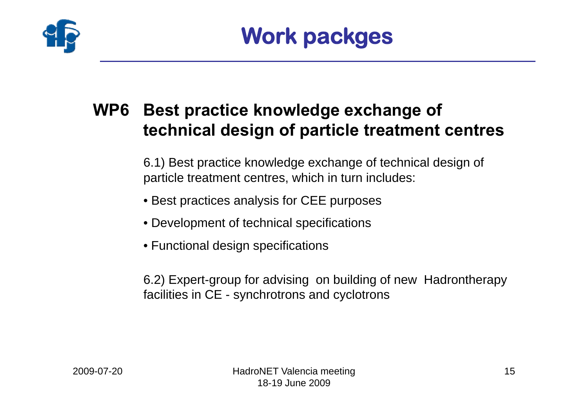

### **WP6 Best practice knowledge exchange of technical design of particle treatment centres**

6.1) Best practice knowledge exchange of technical design of particle treatment centres, which in turn includes:

- Best practices analysis for CEE purposes
- Development of technical specifications
- Functional design specifications

6.2) Expert-group for advising on building of new Hadrontherapy facilities in CE - synchrotrons and cyclotrons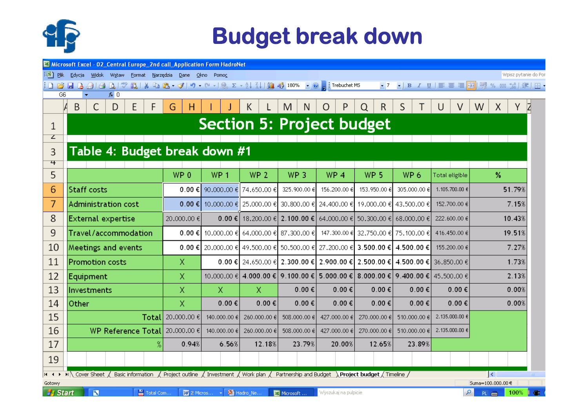

## **Budget break down**

| Microsoft Excel - 02_Central Europe_2nd call_Application Form HadroNet                                                        |                                                                                                                    |                 |           |                     |             |   |                 |                                                                |                         |                                              |              |                                                     |                 |                       |                 |                                                 |                 |                |                |        |        |       |       |   |
|-------------------------------------------------------------------------------------------------------------------------------|--------------------------------------------------------------------------------------------------------------------|-----------------|-----------|---------------------|-------------|---|-----------------|----------------------------------------------------------------|-------------------------|----------------------------------------------|--------------|-----------------------------------------------------|-----------------|-----------------------|-----------------|-------------------------------------------------|-----------------|----------------|----------------|--------|--------|-------|-------|---|
|                                                                                                                               | :[24] <u>P</u> lik Edycja<br>Widok<br>Narzędzia<br>Wpisz pytanie do Po<br>Wstaw<br>Format<br>Dane<br>Okno<br>Pomoc |                 |           |                     |             |   |                 |                                                                |                         |                                              |              |                                                     |                 |                       |                 |                                                 |                 |                |                |        |        |       |       |   |
| id Biblia<br>$\frac{a}{b}$<br>$-7$<br>$\bigoplus$ $\bigoplus$                                                                 |                                                                                                                    |                 |           |                     |             |   |                 |                                                                |                         |                                              |              |                                                     |                 |                       |                 |                                                 |                 |                |                |        |        |       |       |   |
| G6                                                                                                                            |                                                                                                                    |                 | $f_{x}$ 0 |                     |             |   |                 |                                                                |                         |                                              |              |                                                     |                 |                       |                 |                                                 |                 |                |                |        |        |       |       |   |
|                                                                                                                               | B                                                                                                                  | С               | D         | Ε                   | F           | G | н               |                                                                |                         | Κ                                            |              | M<br>N                                              | O               | Ρ                     | Q               | R                                               | S               |                |                | V      | W      | X     | Y     | Z |
| 1                                                                                                                             | <b>Section 5: Project budget</b>                                                                                   |                 |           |                     |             |   |                 |                                                                |                         |                                              |              |                                                     |                 |                       |                 |                                                 |                 |                |                |        |        |       |       |   |
| $\mathcal{L}$                                                                                                                 |                                                                                                                    |                 |           |                     |             |   |                 |                                                                |                         |                                              |              |                                                     |                 |                       |                 |                                                 |                 |                |                |        |        |       |       |   |
| 3                                                                                                                             | Table 4: Budget break down #1                                                                                      |                 |           |                     |             |   |                 |                                                                |                         |                                              |              |                                                     |                 |                       |                 |                                                 |                 |                |                |        |        |       |       |   |
| 4                                                                                                                             |                                                                                                                    |                 |           |                     |             |   |                 |                                                                |                         |                                              |              |                                                     |                 |                       |                 |                                                 |                 |                |                |        |        |       |       |   |
| 5                                                                                                                             |                                                                                                                    |                 |           |                     |             |   | WP <sub>0</sub> |                                                                | WP <sub>1</sub>         | WP <sub>2</sub>                              |              | WP <sub>3</sub>                                     | WP <sub>4</sub> |                       | WP <sub>5</sub> |                                                 | WP <sub>6</sub> |                | Total eligible |        | %      |       |       |   |
| 6                                                                                                                             |                                                                                                                    | Staff costs     |           |                     |             |   | $0.00 \in$      |                                                                | 90,000,00 €             | 74.650.00€                                   |              | 325,900,00 €                                        | 156.200.00 €    |                       | 153,950,00 €    |                                                 | 305,000,00 €    |                | 1,105,700,00 € |        | 51.79% |       |       |   |
| 7                                                                                                                             |                                                                                                                    |                 |           | Administration cost |             |   | 0.00€           |                                                                | 10,000,00 €             | 25,000,00 €                                  |              |                                                     |                 |                       |                 | 30.800.00 € 24.400.00 € 19.000.00 € 43.500.00 € |                 |                | 152,700,00 €   |        | 7.15%  |       |       |   |
| 8                                                                                                                             | External expertise                                                                                                 |                 |           |                     | 20.000.00 € |   |                 | 0.00 € I                                                       | 18,200,00 €             |                                              |              | 2.100.00 € 64.000.00 €                              |                 |                       |                 | 50.300.00 € 68.000.00 €                         |                 | 222,600,00 €   |                | 10.43% |        |       |       |   |
| 9                                                                                                                             | Travel/accommodation                                                                                               |                 |           |                     | 0.00€       |   | 10,000,00 €     |                                                                | 64,000,00 € 87,300,00 € |                                              |              |                                                     |                 |                       |                 | 147.300.00 € 32.750.00 € 75.100.00 €            |                 | 416.450.00 €   |                | 19.51% |        |       |       |   |
| 10                                                                                                                            | Meetings and events                                                                                                |                 |           |                     | 0.00 € $ $  |   |                 | 20.000.00 € 49.500.00 € 50.500.00 €                            |                         |                                              | 27.200.00 €  |                                                     |                 | 3.500.00 € 4.500.00 € |                 | 155.200.00 €                                    |                 |                |                | 7.27%  |        |       |       |   |
| 11                                                                                                                            | <b>Promotion costs</b>                                                                                             |                 |           |                     | X           |   |                 | 0.00 € 24.650.00 € 2.300.00 € 2.900.00 € 2.500.00 € 4.500.00 € |                         |                                              |              |                                                     |                 |                       |                 |                                                 |                 | 36,850,00€     |                |        |        | 1.73% |       |   |
| 12                                                                                                                            | Equipment                                                                                                          |                 |           |                     | Χ           |   | 10,000,00 €     |                                                                |                         |                                              |              | 4.000.00 € 9.100.00 € 5.000.00 €                    |                 |                       |                 | 8.000.00 € 9.400.00 € 45.500.00 €               |                 |                |                |        |        | 2.13% |       |   |
| 13                                                                                                                            | Investments                                                                                                        |                 |           |                     | Χ           |   |                 | $\mathsf{X}$                                                   |                         |                                              | $0.00 \in$   | $0.00 \in$                                          |                 | $0.00 \in$            |                 | $0.00 \in$                                      |                 | $0.00 \in$     |                | 0.00%  |        |       |       |   |
| 14                                                                                                                            | Other                                                                                                              |                 |           |                     |             | X |                 | $0.00 \in$                                                     |                         | $0.00 \in$                                   |              | $0.00 \in$                                          | $0.00 \in$      |                       | 0.00€           |                                                 | $0.00 \in$      |                | 0.00€          |        |        |       | 0.00% |   |
| 15                                                                                                                            | <b>Total</b>                                                                                                       |                 |           |                     | 20,000,00 € |   | 140,000,00 €    |                                                                | 260,000,00 €            |                                              | 508,000,00 € | 427,000,00 €                                        |                 | 270,000,00 €          |                 | 510,000,00 €                                    |                 | 2.135.000.00 € |                |        |        |       |       |   |
| 16                                                                                                                            | <b>WP Reference Total</b>                                                                                          |                 |           |                     | 20,000,00 € |   | 140,000,00 €    |                                                                | 260,000,00 €            |                                              | 508,000,00 € | 427,000,00 €                                        |                 | 270,000,00 €          |                 | 510,000,00 €                                    |                 | 2.135.000.00 € |                |        |        |       |       |   |
| 17                                                                                                                            |                                                                                                                    |                 |           |                     |             |   | 0.94%           |                                                                | 6.56%                   |                                              | 12.18%       | 23.79%                                              | 20.00%          |                       |                 | 12.65%                                          |                 | 23.89%         |                |        |        |       |       |   |
| 19                                                                                                                            |                                                                                                                    |                 |           |                     |             |   |                 |                                                                |                         |                                              |              |                                                     |                 |                       |                 |                                                 |                 |                |                |        |        |       |       |   |
| $\leftrightarrow$                                                                                                             |                                                                                                                    | M Cover Sheet / |           | Basic information   |             |   |                 |                                                                |                         | / Project outline / Investment / Work plan / |              | Partnership and Budget \Project budget / Timeline / |                 |                       |                 |                                                 |                 |                |                |        |        | ⊺∢    |       |   |
| Suma=100.000.00€<br>Gotowy                                                                                                    |                                                                                                                    |                 |           |                     |             |   |                 |                                                                |                         |                                              |              |                                                     |                 |                       |                 |                                                 |                 |                |                |        |        |       |       |   |
| $\overline{S}$<br>Fotal Com<br><b>Bi</b> Hadro_Ne<br><b>H</b> Start<br>Wyszukaj na pulpicie<br><b>W</b> 2 Micros<br>Microsoft |                                                                                                                    |                 |           |                     |             |   |                 |                                                                |                         |                                              |              |                                                     |                 |                       | ۹               |                                                 | PL (mm)         | 100%           |                |        |        |       |       |   |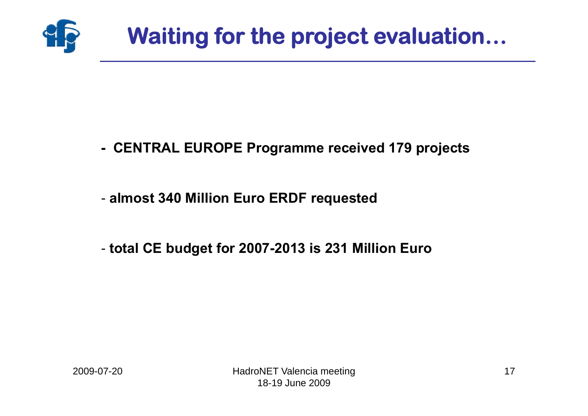

- **- CENTRAL EUROPE Programme received 179 projects**
- **almost 340 Million Euro ERDF requested**
- **total CE budget for 2007-2013 is 231 Million Euro**